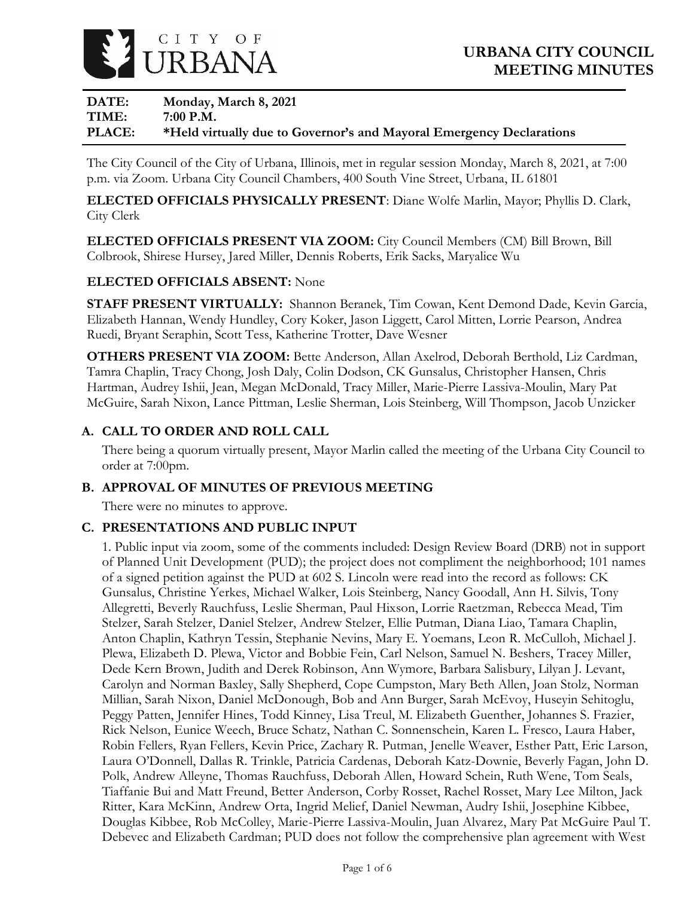

# **DATE: Monday, March 8, 2021 TIME: 7:00 P.M. PLACE: \*Held virtually due to Governor's and Mayoral Emergency Declarations**

The City Council of the City of Urbana, Illinois, met in regular session Monday, March 8, 2021, at 7:00 p.m. via Zoom. Urbana City Council Chambers, 400 South Vine Street, Urbana, IL 61801

**ELECTED OFFICIALS PHYSICALLY PRESENT**: Diane Wolfe Marlin, Mayor; Phyllis D. Clark, City Clerk

**ELECTED OFFICIALS PRESENT VIA ZOOM:** City Council Members (CM) Bill Brown, Bill Colbrook, Shirese Hursey, Jared Miller, Dennis Roberts, Erik Sacks, Maryalice Wu

## **ELECTED OFFICIALS ABSENT:** None

**STAFF PRESENT VIRTUALLY:** Shannon Beranek, Tim Cowan, Kent Demond Dade, Kevin Garcia, Elizabeth Hannan, Wendy Hundley, Cory Koker, Jason Liggett, Carol Mitten, Lorrie Pearson, Andrea Ruedi, Bryant Seraphin, Scott Tess, Katherine Trotter, Dave Wesner

**OTHERS PRESENT VIA ZOOM:** Bette Anderson, Allan Axelrod, Deborah Berthold, Liz Cardman, Tamra Chaplin, Tracy Chong, Josh Daly, Colin Dodson, CK Gunsalus, Christopher Hansen, Chris Hartman, Audrey Ishii, Jean, Megan McDonald, Tracy Miller, Marie-Pierre Lassiva-Moulin, Mary Pat McGuire, Sarah Nixon, Lance Pittman, Leslie Sherman, Lois Steinberg, Will Thompson, Jacob Unzicker

## **A. CALL TO ORDER AND ROLL CALL**

There being a quorum virtually present, Mayor Marlin called the meeting of the Urbana City Council to order at 7:00pm.

## **B. APPROVAL OF MINUTES OF PREVIOUS MEETING**

There were no minutes to approve.

## **C. PRESENTATIONS AND PUBLIC INPUT**

1. Public input via zoom, some of the comments included: Design Review Board (DRB) not in support of Planned Unit Development (PUD); the project does not compliment the neighborhood; 101 names of a signed petition against the PUD at 602 S. Lincoln were read into the record as follows: CK Gunsalus, Christine Yerkes, Michael Walker, Lois Steinberg, Nancy Goodall, Ann H. Silvis, Tony Allegretti, Beverly Rauchfuss, Leslie Sherman, Paul Hixson, Lorrie Raetzman, Rebecca Mead, Tim Stelzer, Sarah Stelzer, Daniel Stelzer, Andrew Stelzer, Ellie Putman, Diana Liao, Tamara Chaplin, Anton Chaplin, Kathryn Tessin, Stephanie Nevins, Mary E. Yoemans, Leon R. McCulloh, Michael J. Plewa, Elizabeth D. Plewa, Victor and Bobbie Fein, Carl Nelson, Samuel N. Beshers, Tracey Miller, Dede Kern Brown, Judith and Derek Robinson, Ann Wymore, Barbara Salisbury, Lilyan J. Levant, Carolyn and Norman Baxley, Sally Shepherd, Cope Cumpston, Mary Beth Allen, Joan Stolz, Norman Millian, Sarah Nixon, Daniel McDonough, Bob and Ann Burger, Sarah McEvoy, Huseyin Sehitoglu, Peggy Patten, Jennifer Hines, Todd Kinney, Lisa Treul, M. Elizabeth Guenther, Johannes S. Frazier, Rick Nelson, Eunice Weech, Bruce Schatz, Nathan C. Sonnenschein, Karen L. Fresco, Laura Haber, Robin Fellers, Ryan Fellers, Kevin Price, Zachary R. Putman, Jenelle Weaver, Esther Patt, Eric Larson, Laura O'Donnell, Dallas R. Trinkle, Patricia Cardenas, Deborah Katz-Downie, Beverly Fagan, John D. Polk, Andrew Alleyne, Thomas Rauchfuss, Deborah Allen, Howard Schein, Ruth Wene, Tom Seals, Tiaffanie Bui and Matt Freund, Better Anderson, Corby Rosset, Rachel Rosset, Mary Lee Milton, Jack Ritter, Kara McKinn, Andrew Orta, Ingrid Melief, Daniel Newman, Audry Ishii, Josephine Kibbee, Douglas Kibbee, Rob McColley, Marie-Pierre Lassiva-Moulin, Juan Alvarez, Mary Pat McGuire Paul T. Debevec and Elizabeth Cardman; PUD does not follow the comprehensive plan agreement with West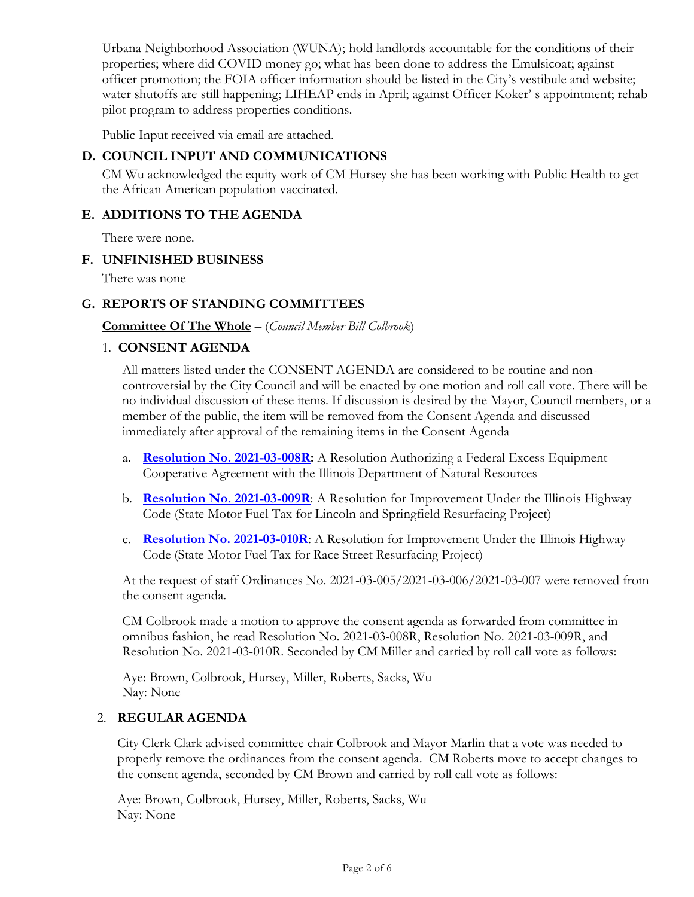Urbana Neighborhood Association (WUNA); hold landlords accountable for the conditions of their properties; where did COVID money go; what has been done to address the Emulsicoat; against officer promotion; the FOIA officer information should be listed in the City's vestibule and website; water shutoffs are still happening; LIHEAP ends in April; against Officer Koker' s appointment; rehab pilot program to address properties conditions.

Public Input received via email are attached.

# **D. COUNCIL INPUT AND COMMUNICATIONS**

CM Wu acknowledged the equity work of CM Hursey she has been working with Public Health to get the African American population vaccinated.

## **E. ADDITIONS TO THE AGENDA**

There were none.

## **F. UNFINISHED BUSINESS**

There was none

## **G. REPORTS OF STANDING COMMITTEES**

## **Committee Of The Whole** – (*Council Member Bill Colbrook*)

## 1. **CONSENT AGENDA**

All matters listed under the CONSENT AGENDA are considered to be routine and noncontroversial by the City Council and will be enacted by one motion and roll call vote. There will be no individual discussion of these items. If discussion is desired by the Mayor, Council members, or a member of the public, the item will be removed from the Consent Agenda and discussed immediately after approval of the remaining items in the Consent Agenda

- a. **[Resolution No. 2021-03-008R:](https://urbanaillinois.us/sites/default/files/attachments/Resolution_2021-03-008R_all_2.pdf)** A Resolution Authorizing a Federal Excess Equipment Cooperative Agreement with the Illinois Department of Natural Resources
- b. **[Resolution No. 2021-03-009R](https://urbanaillinois.us/sites/default/files/attachments/Resolution_2021-03-009R_all_0.pdf)**: A Resolution for Improvement Under the Illinois Highway Code (State Motor Fuel Tax for Lincoln and Springfield Resurfacing Project)
- c. **[Resolution No. 2021-03-010R](https://urbanaillinois.us/sites/default/files/attachments/Resolution_2021-03-010R_all_0.pdf)**: A Resolution for Improvement Under the Illinois Highway Code (State Motor Fuel Tax for Race Street Resurfacing Project)

At the request of staff Ordinances No. 2021-03-005/2021-03-006/2021-03-007 were removed from the consent agenda.

CM Colbrook made a motion to approve the consent agenda as forwarded from committee in omnibus fashion, he read Resolution No. 2021-03-008R, Resolution No. 2021-03-009R, and Resolution No. 2021-03-010R. Seconded by CM Miller and carried by roll call vote as follows:

Aye: Brown, Colbrook, Hursey, Miller, Roberts, Sacks, Wu Nay: None

## 2. **REGULAR AGENDA**

City Clerk Clark advised committee chair Colbrook and Mayor Marlin that a vote was needed to properly remove the ordinances from the consent agenda. CM Roberts move to accept changes to the consent agenda, seconded by CM Brown and carried by roll call vote as follows:

Aye: Brown, Colbrook, Hursey, Miller, Roberts, Sacks, Wu Nay: None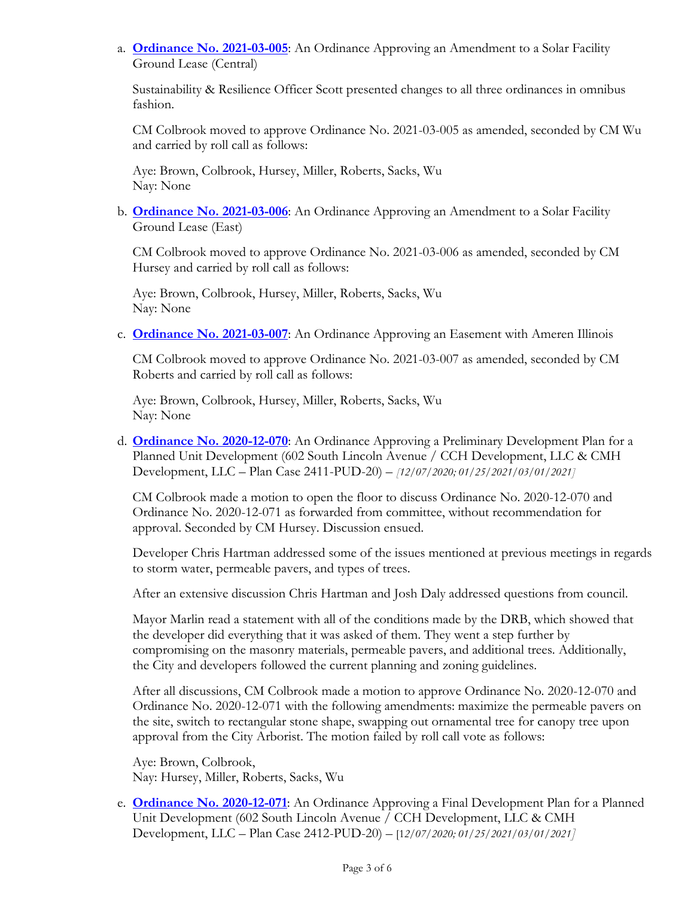a. **[Ordinance No. 2021-03-005](https://urbanaillinois.us/sites/default/files/attachments/Ordinances_2021-03-005_2021-03-006_and_2021-03-007_all_0.pdf)**: An Ordinance Approving an Amendment to a Solar Facility Ground Lease (Central)

Sustainability & Resilience Officer Scott presented changes to all three ordinances in omnibus fashion.

CM Colbrook moved to approve Ordinance No. 2021-03-005 as amended, seconded by CM Wu and carried by roll call as follows:

Aye: Brown, Colbrook, Hursey, Miller, Roberts, Sacks, Wu Nay: None

b. **[Ordinance No. 2021-03-006](https://urbanaillinois.us/sites/default/files/attachments/Ordinances_2021-03-005_2021-03-006_and_2021-03-007_all_0.pdf)**: An Ordinance Approving an Amendment to a Solar Facility Ground Lease (East)

CM Colbrook moved to approve Ordinance No. 2021-03-006 as amended, seconded by CM Hursey and carried by roll call as follows:

Aye: Brown, Colbrook, Hursey, Miller, Roberts, Sacks, Wu Nay: None

c. **[Ordinance No. 2021-03-007](https://urbanaillinois.us/sites/default/files/attachments/Ordinances_2021-03-005_2021-03-006_and_2021-03-007_all_0.pdf)**: An Ordinance Approving an Easement with Ameren Illinois

CM Colbrook moved to approve Ordinance No. 2021-03-007 as amended, seconded by CM Roberts and carried by roll call as follows:

Aye: Brown, Colbrook, Hursey, Miller, Roberts, Sacks, Wu Nay: None

d. **[Ordinance No. 2020-12-070](https://urbanaillinois.us/sites/default/files/attachments/Ordinances_2020-12-070_and_2020-12-071_PUD_0.pdf)**: An Ordinance Approving a Preliminary Development Plan for a Planned Unit Development (602 South Lincoln Avenue / CCH Development, LLC & CMH Development, LLC – Plan Case 2411-PUD-20) – *[12/07/2020; 01/25/2021/03/01/2021]*

CM Colbrook made a motion to open the floor to discuss Ordinance No. 2020-12-070 and Ordinance No. 2020-12-071 as forwarded from committee, without recommendation for approval. Seconded by CM Hursey. Discussion ensued.

Developer Chris Hartman addressed some of the issues mentioned at previous meetings in regards to storm water, permeable pavers, and types of trees.

After an extensive discussion Chris Hartman and Josh Daly addressed questions from council.

Mayor Marlin read a statement with all of the conditions made by the DRB, which showed that the developer did everything that it was asked of them. They went a step further by compromising on the masonry materials, permeable pavers, and additional trees. Additionally, the City and developers followed the current planning and zoning guidelines.

After all discussions, CM Colbrook made a motion to approve Ordinance No. 2020-12-070 and Ordinance No. 2020-12-071 with the following amendments: maximize the permeable pavers on the site, switch to rectangular stone shape, swapping out ornamental tree for canopy tree upon approval from the City Arborist. The motion failed by roll call vote as follows:

Aye: Brown, Colbrook, Nay: Hursey, Miller, Roberts, Sacks, Wu

e. **[Ordinance No. 2020-12-071](https://urbanaillinois.us/sites/default/files/attachments/Ordinances_2020-12-070_and_2020-12-071_PUD_0.pdf)**: An Ordinance Approving a Final Development Plan for a Planned Unit Development (602 South Lincoln Avenue / CCH Development, LLC & CMH Development, LLC – Plan Case 2412-PUD-20) – [1*2/07/2020; 01/25/2021/03/01/2021]*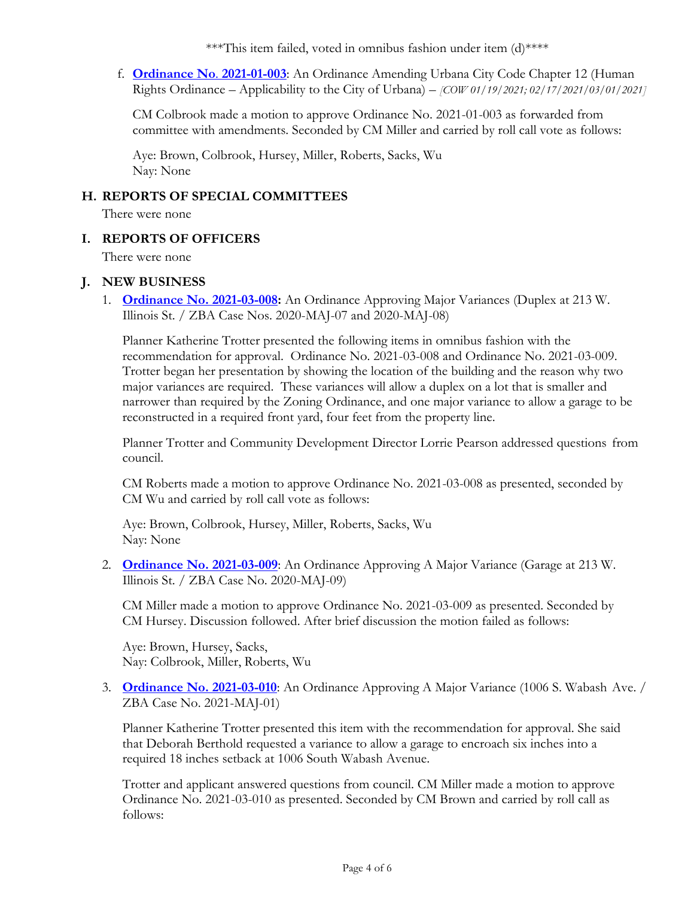\*\*\*This item failed, voted in omnibus fashion under item (d)\*\*\*\*

f. **[Ordinance No](https://urbanaillinois.us/sites/default/files/attachments/Ordinance_2021-01-003_memo.pdf)**. **2021-01-003**: An Ordinance Amending Urbana City Code Chapter 12 (Human Rights Ordinance – Applicability to the City of Urbana) – *[COW 01/19/2021; 02/17/2021/03/01/2021]* 

CM Colbrook made a motion to approve Ordinance No. 2021-01-003 as forwarded from committee with amendments. Seconded by CM Miller and carried by roll call vote as follows:

Aye: Brown, Colbrook, Hursey, Miller, Roberts, Sacks, Wu Nay: None

#### **H. REPORTS OF SPECIAL COMMITTEES**

There were none

#### **I. REPORTS OF OFFICERS**

There were none

#### **J. NEW BUSINESS**

1. **[Ordinance No. 2021-03-008:](https://urbanaillinois.us/sites/default/files/attachments/Ordinance_2021-03-008_and_2021-03-009_all.pdf)** An Ordinance Approving Major Variances (Duplex at 213 W. Illinois St. / ZBA Case Nos. 2020-MAJ-07 and 2020-MAJ-08)

Planner Katherine Trotter presented the following items in omnibus fashion with the recommendation for approval. Ordinance No. 2021-03-008 and Ordinance No. 2021-03-009. Trotter began her presentation by showing the location of the building and the reason why two major variances are required. These variances will allow a duplex on a lot that is smaller and narrower than required by the Zoning Ordinance, and one major variance to allow a garage to be reconstructed in a required front yard, four feet from the property line.

Planner Trotter and Community Development Director Lorrie Pearson addressed questions from council.

CM Roberts made a motion to approve Ordinance No. 2021-03-008 as presented, seconded by CM Wu and carried by roll call vote as follows:

Aye: Brown, Colbrook, Hursey, Miller, Roberts, Sacks, Wu Nay: None

2. **[Ordinance No. 2021-03-009](https://urbanaillinois.us/sites/default/files/attachments/Ordinance_2021-03-008_and_2021-03-009_all.pdf)**: An Ordinance Approving A Major Variance (Garage at 213 W. Illinois St. / ZBA Case No. 2020-MAJ-09)

CM Miller made a motion to approve Ordinance No. 2021-03-009 as presented. Seconded by CM Hursey. Discussion followed. After brief discussion the motion failed as follows:

Aye: Brown, Hursey, Sacks, Nay: Colbrook, Miller, Roberts, Wu

3. **[Ordinance No. 2021-03-010](https://urbanaillinois.us/sites/default/files/attachments/Ordinance_2021-03-010_all.pdf)**: An Ordinance Approving A Major Variance (1006 S. Wabash Ave. / ZBA Case No. 2021-MAJ-01)

Planner Katherine Trotter presented this item with the recommendation for approval. She said that Deborah Berthold requested a variance to allow a garage to encroach six inches into a required 18 inches setback at 1006 South Wabash Avenue.

Trotter and applicant answered questions from council. CM Miller made a motion to approve Ordinance No. 2021-03-010 as presented. Seconded by CM Brown and carried by roll call as follows: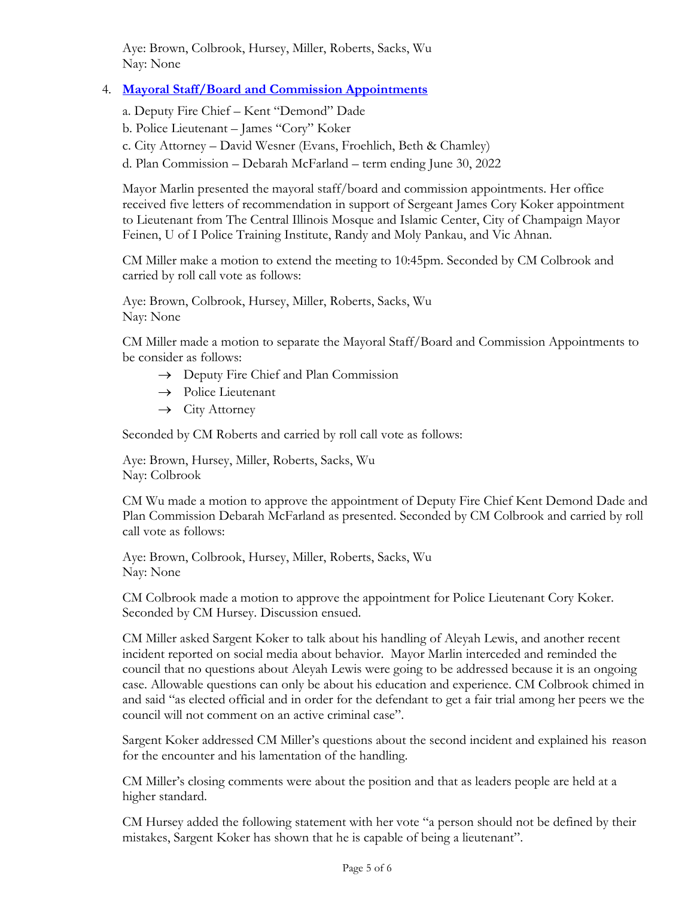Aye: Brown, Colbrook, Hursey, Miller, Roberts, Sacks, Wu Nay: None

## 4. **[Mayoral Staff/Board and Commission Appointments](https://urbanaillinois.us/sites/default/files/attachments/Mayoral_Staff_Board_and_Commission_appt.pdf)**

a. Deputy Fire Chief – Kent "Demond" Dade

b. Police Lieutenant – James "Cory" Koker

c. City Attorney – David Wesner (Evans, Froehlich, Beth & Chamley)

d. Plan Commission – Debarah McFarland – term ending June 30, 2022

Mayor Marlin presented the mayoral staff/board and commission appointments. Her office received five letters of recommendation in support of Sergeant James Cory Koker appointment to Lieutenant from The Central Illinois Mosque and Islamic Center, City of Champaign Mayor Feinen, U of I Police Training Institute, Randy and Moly Pankau, and Vic Ahnan.

CM Miller make a motion to extend the meeting to 10:45pm. Seconded by CM Colbrook and carried by roll call vote as follows:

Aye: Brown, Colbrook, Hursey, Miller, Roberts, Sacks, Wu Nay: None

CM Miller made a motion to separate the Mayoral Staff/Board and Commission Appointments to be consider as follows:

- $\rightarrow$  Deputy Fire Chief and Plan Commission
- $\rightarrow$  Police Lieutenant
- $\rightarrow$  City Attorney

Seconded by CM Roberts and carried by roll call vote as follows:

Aye: Brown, Hursey, Miller, Roberts, Sacks, Wu Nay: Colbrook

CM Wu made a motion to approve the appointment of Deputy Fire Chief Kent Demond Dade and Plan Commission Debarah McFarland as presented. Seconded by CM Colbrook and carried by roll call vote as follows:

Aye: Brown, Colbrook, Hursey, Miller, Roberts, Sacks, Wu Nay: None

CM Colbrook made a motion to approve the appointment for Police Lieutenant Cory Koker. Seconded by CM Hursey. Discussion ensued.

CM Miller asked Sargent Koker to talk about his handling of Aleyah Lewis, and another recent incident reported on social media about behavior. Mayor Marlin interceded and reminded the council that no questions about Aleyah Lewis were going to be addressed because it is an ongoing case. Allowable questions can only be about his education and experience. CM Colbrook chimed in and said "as elected official and in order for the defendant to get a fair trial among her peers we the council will not comment on an active criminal case".

Sargent Koker addressed CM Miller's questions about the second incident and explained his reason for the encounter and his lamentation of the handling.

CM Miller's closing comments were about the position and that as leaders people are held at a higher standard.

CM Hursey added the following statement with her vote "a person should not be defined by their mistakes, Sargent Koker has shown that he is capable of being a lieutenant".